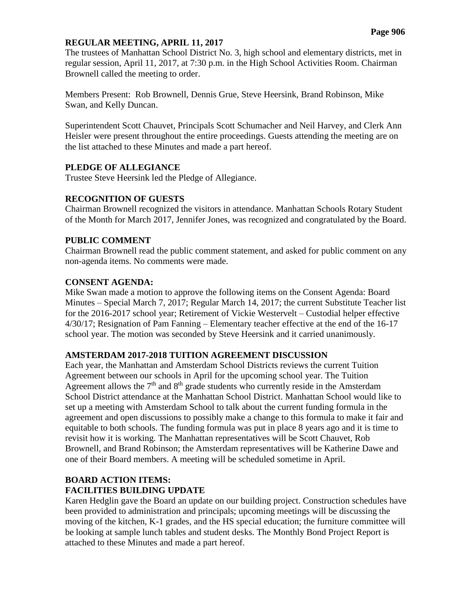### **REGULAR MEETING, APRIL 11, 2017**

The trustees of Manhattan School District No. 3, high school and elementary districts, met in regular session, April 11, 2017, at 7:30 p.m. in the High School Activities Room. Chairman Brownell called the meeting to order.

Members Present: Rob Brownell, Dennis Grue, Steve Heersink, Brand Robinson, Mike Swan, and Kelly Duncan.

Superintendent Scott Chauvet, Principals Scott Schumacher and Neil Harvey, and Clerk Ann Heisler were present throughout the entire proceedings. Guests attending the meeting are on the list attached to these Minutes and made a part hereof.

### **PLEDGE OF ALLEGIANCE**

Trustee Steve Heersink led the Pledge of Allegiance.

# **RECOGNITION OF GUESTS**

Chairman Brownell recognized the visitors in attendance. Manhattan Schools Rotary Student of the Month for March 2017, Jennifer Jones, was recognized and congratulated by the Board.

### **PUBLIC COMMENT**

Chairman Brownell read the public comment statement, and asked for public comment on any non-agenda items. No comments were made.

# **CONSENT AGENDA:**

Mike Swan made a motion to approve the following items on the Consent Agenda: Board Minutes – Special March 7, 2017; Regular March 14, 2017; the current Substitute Teacher list for the 2016-2017 school year; Retirement of Vickie Westervelt – Custodial helper effective 4/30/17; Resignation of Pam Fanning – Elementary teacher effective at the end of the 16-17 school year. The motion was seconded by Steve Heersink and it carried unanimously.

# **AMSTERDAM 2017-2018 TUITION AGREEMENT DISCUSSION**

Each year, the Manhattan and Amsterdam School Districts reviews the current Tuition Agreement between our schools in April for the upcoming school year. The Tuition Agreement allows the  $7<sup>th</sup>$  and  $8<sup>th</sup>$  grade students who currently reside in the Amsterdam School District attendance at the Manhattan School District. Manhattan School would like to set up a meeting with Amsterdam School to talk about the current funding formula in the agreement and open discussions to possibly make a change to this formula to make it fair and equitable to both schools. The funding formula was put in place 8 years ago and it is time to revisit how it is working. The Manhattan representatives will be Scott Chauvet, Rob Brownell, and Brand Robinson; the Amsterdam representatives will be Katherine Dawe and one of their Board members. A meeting will be scheduled sometime in April.

# **BOARD ACTION ITEMS: FACILITIES BUILDING UPDATE**

Karen Hedglin gave the Board an update on our building project. Construction schedules have been provided to administration and principals; upcoming meetings will be discussing the moving of the kitchen, K-1 grades, and the HS special education; the furniture committee will be looking at sample lunch tables and student desks. The Monthly Bond Project Report is attached to these Minutes and made a part hereof.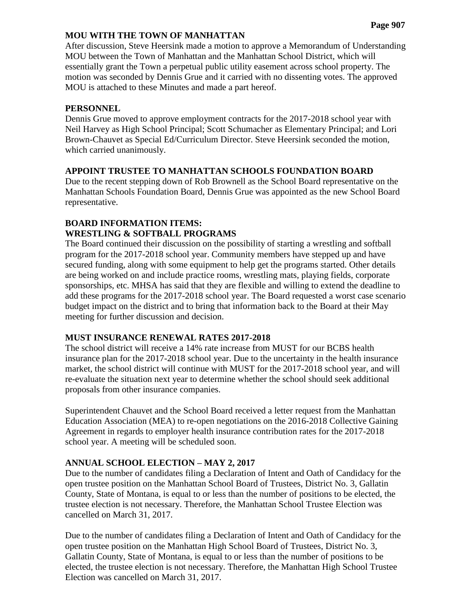#### **Page 907**

### **MOU WITH THE TOWN OF MANHATTAN**

After discussion, Steve Heersink made a motion to approve a Memorandum of Understanding MOU between the Town of Manhattan and the Manhattan School District, which will essentially grant the Town a perpetual public utility easement across school property. The motion was seconded by Dennis Grue and it carried with no dissenting votes. The approved MOU is attached to these Minutes and made a part hereof.

### **PERSONNEL**

Dennis Grue moved to approve employment contracts for the 2017-2018 school year with Neil Harvey as High School Principal; Scott Schumacher as Elementary Principal; and Lori Brown-Chauvet as Special Ed/Curriculum Director. Steve Heersink seconded the motion, which carried unanimously.

### **APPOINT TRUSTEE TO MANHATTAN SCHOOLS FOUNDATION BOARD**

Due to the recent stepping down of Rob Brownell as the School Board representative on the Manhattan Schools Foundation Board, Dennis Grue was appointed as the new School Board representative.

# **BOARD INFORMATION ITEMS: WRESTLING & SOFTBALL PROGRAMS**

The Board continued their discussion on the possibility of starting a wrestling and softball program for the 2017-2018 school year. Community members have stepped up and have secured funding, along with some equipment to help get the programs started. Other details are being worked on and include practice rooms, wrestling mats, playing fields, corporate sponsorships, etc. MHSA has said that they are flexible and willing to extend the deadline to add these programs for the 2017-2018 school year. The Board requested a worst case scenario budget impact on the district and to bring that information back to the Board at their May meeting for further discussion and decision.

# **MUST INSURANCE RENEWAL RATES 2017-2018**

The school district will receive a 14% rate increase from MUST for our BCBS health insurance plan for the 2017-2018 school year. Due to the uncertainty in the health insurance market, the school district will continue with MUST for the 2017-2018 school year, and will re-evaluate the situation next year to determine whether the school should seek additional proposals from other insurance companies.

Superintendent Chauvet and the School Board received a letter request from the Manhattan Education Association (MEA) to re-open negotiations on the 2016-2018 Collective Gaining Agreement in regards to employer health insurance contribution rates for the 2017-2018 school year. A meeting will be scheduled soon.

# **ANNUAL SCHOOL ELECTION – MAY 2, 2017**

Due to the number of candidates filing a Declaration of Intent and Oath of Candidacy for the open trustee position on the Manhattan School Board of Trustees, District No. 3, Gallatin County, State of Montana, is equal to or less than the number of positions to be elected, the trustee election is not necessary. Therefore, the Manhattan School Trustee Election was cancelled on March 31, 2017.

Due to the number of candidates filing a Declaration of Intent and Oath of Candidacy for the open trustee position on the Manhattan High School Board of Trustees, District No. 3, Gallatin County, State of Montana, is equal to or less than the number of positions to be elected, the trustee election is not necessary. Therefore, the Manhattan High School Trustee Election was cancelled on March 31, 2017.